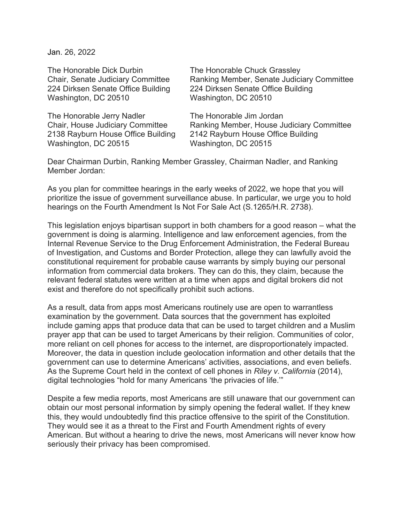Jan. 26, 2022

The Honorable Dick Durbin The Honorable Chuck Grassley Washington, DC 20510 Washington, DC 20510

The Honorable Jerry Nadler The Honorable Jim Jordan 2138 Rayburn House Office Building 2142 Rayburn House Office Building Washington, DC 20515 Washington, DC 20515

Chair, Senate Judiciary Committee Ranking Member, Senate Judiciary Committee 224 Dirksen Senate Office Building 224 Dirksen Senate Office Building

Chair, House Judiciary Committee Ranking Member, House Judiciary Committee

Dear Chairman Durbin, Ranking Member Grassley, Chairman Nadler, and Ranking Member Jordan:

As you plan for committee hearings in the early weeks of 2022, we hope that you will prioritize the issue of government surveillance abuse. In particular, we urge you to hold hearings on the Fourth Amendment Is Not For Sale Act (S.1265/H.R. 2738).

This legislation enjoys bipartisan support in both chambers for a good reason – what the government is doing is alarming. Intelligence and law enforcement agencies, from the Internal Revenue Service to the Drug Enforcement Administration, the Federal Bureau of Investigation, and Customs and Border Protection, allege they can lawfully avoid the constitutional requirement for probable cause warrants by simply buying our personal information from commercial data brokers. They can do this, they claim, because the relevant federal statutes were written at a time when apps and digital brokers did not exist and therefore do not specifically prohibit such actions.

As a result, data from apps most Americans routinely use are open to warrantless examination by the government. Data sources that the government has exploited include gaming apps that produce data that can be used to target children and a Muslim prayer app that can be used to target Americans by their religion. Communities of color, more reliant on cell phones for access to the internet, are disproportionately impacted. Moreover, the data in question include geolocation information and other details that the government can use to determine Americans' activities, associations, and even beliefs. As the Supreme Court held in the context of cell phones in *Riley v. California* (2014), digital technologies "hold for many Americans 'the privacies of life.'"

Despite a few media reports, most Americans are still unaware that our government can obtain our most personal information by simply opening the federal wallet. If they knew this, they would undoubtedly find this practice offensive to the spirit of the Constitution. They would see it as a threat to the First and Fourth Amendment rights of every American. But without a hearing to drive the news, most Americans will never know how seriously their privacy has been compromised.